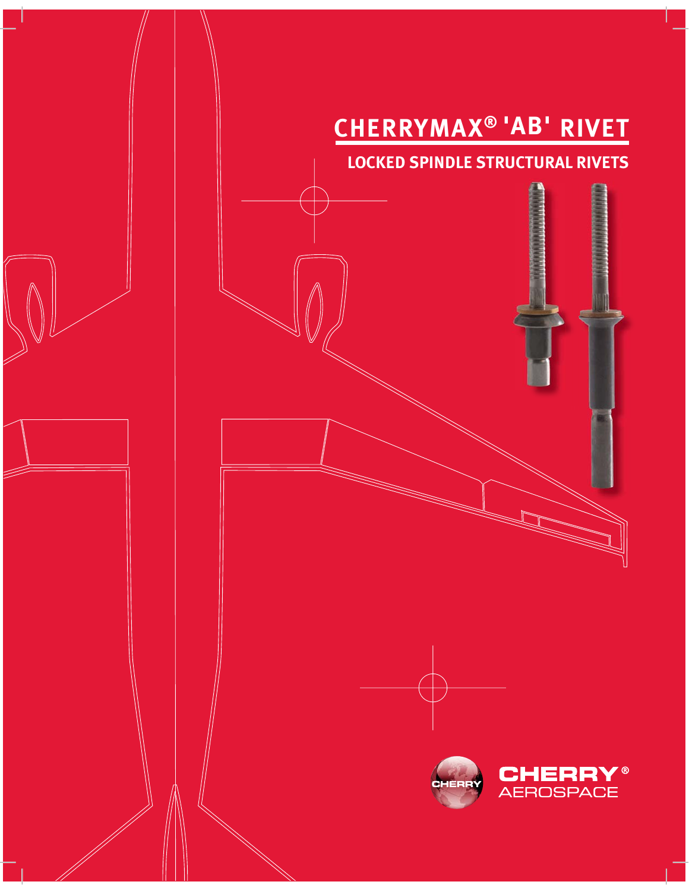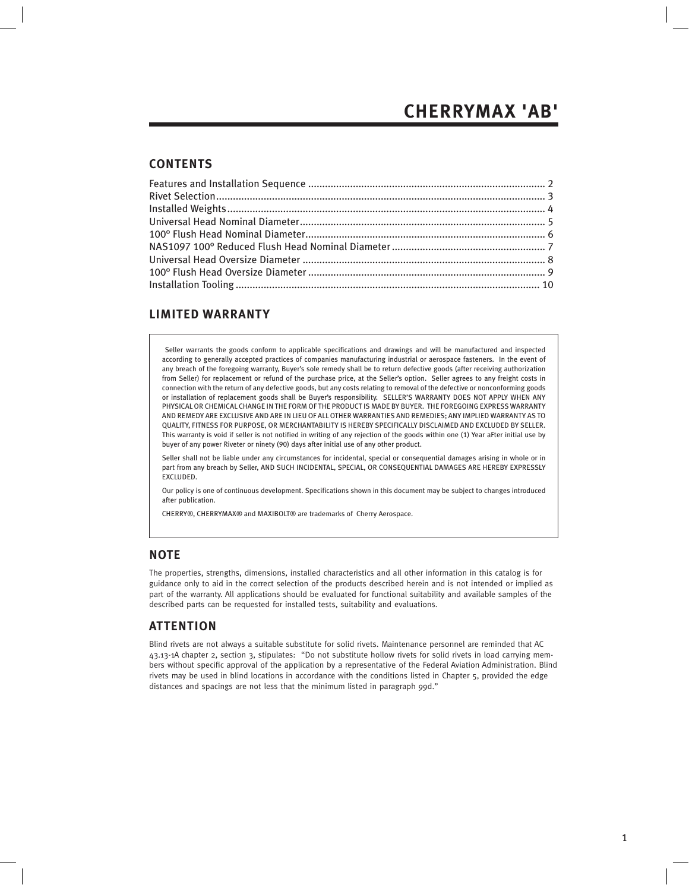#### **CONTENTS**

#### **LIMITED WARRANTY**

 Seller warrants the goods conform to applicable specifications and drawings and will be manufactured and inspected according to generally accepted practices of companies manufacturing industrial or aerospace fasteners. In the event of any breach of the foregoing warranty, Buyer's sole remedy shall be to return defective goods (after receiving authorization from Seller) for replacement or refund of the purchase price, at the Seller's option. Seller agrees to any freight costs in connection with the return of any defective goods, but any costs relating to removal of the defective or nonconforming goods or installation of replacement goods shall be Buyer's responsibility. SELLER'S WARRANTY DOES NOT APPLY WHEN ANY PHYSICAL OR CHEMICAL CHANGE IN THE FORM OF THE PRODUCT IS MADE BY BUYER. THE FOREGOING EXPRESS WARRANTY AND REMEDY ARE EXCLUSIVE AND ARE IN LIEU OF ALL OTHER WARRANTIES AND REMEDIES; ANY IMPLIED WARRANTY AS TO QUALITY, FITNESS FOR PURPOSE, OR MERCHANTABILITY IS HEREBY SPECIFICALLY DISCLAIMED AND EXCLUDED BY SELLER. This warranty is void if seller is not notified in writing of any rejection of the goods within one (1) Year aFter initial use by buyer of any power Riveter or ninety (90) days after initial use of any other product.

Seller shall not be liable under any circumstances for incidental, special or consequential damages arising in whole or in part from any breach by Seller, AND SUCH INCIDENTAL, SPECIAL, OR CONSEQUENTIAL DAMAGES ARE HEREBY EXPRESSLY EXCLUDED.

Our policy is one of continuous development. Specifications shown in this document may be subject to changes introduced after publication.

CHERRY®, CHERRYMAX® and MAXIBOLT® are trademarks of Cherry Aerospace.

#### **NOTE**

The properties, strengths, dimensions, installed characteristics and all other information in this catalog is for guidance only to aid in the correct selection of the products described herein and is not intended or implied as part of the warranty. All applications should be evaluated for functional suitability and available samples of the described parts can be requested for installed tests, suitability and evaluations.

#### **ATTENTION**

Blind rivets are not always a suitable substitute for solid rivets. Maintenance personnel are reminded that AC 43.13-1A chapter 2, section 3, stipulates: "Do not substitute hollow rivets for solid rivets in load carrying members without specific approval of the application by a representative of the Federal Aviation Administration. Blind rivets may be used in blind locations in accordance with the conditions listed in Chapter 5, provided the edge distances and spacings are not less that the minimum listed in paragraph 99d."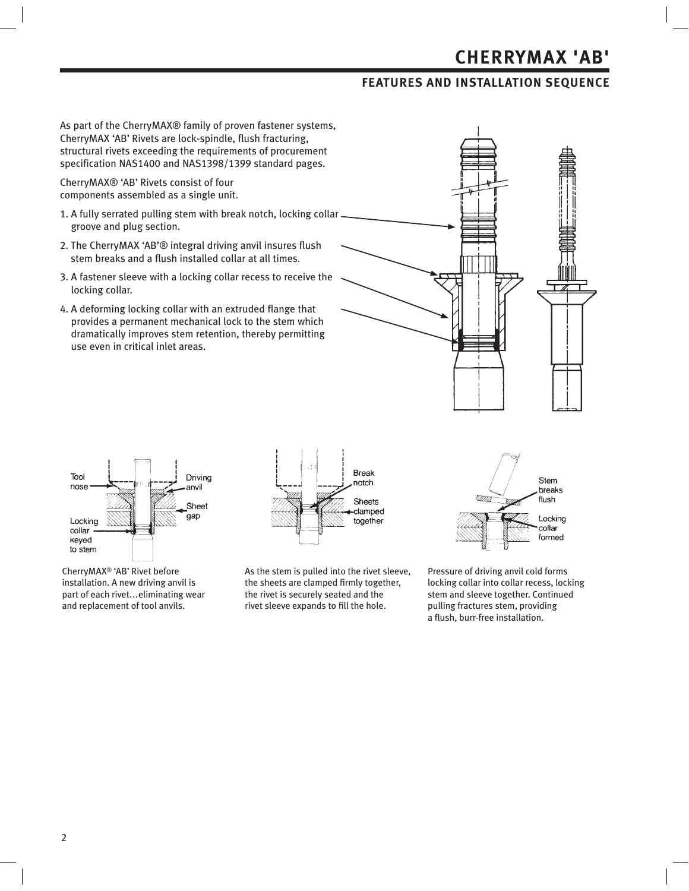### **FEATURES AND INSTALLATION SEQUENCE**

As part of the CherryMAX® family of proven fastener systems, CherryMAX 'AB' Rivets are lock-spindle, flush fracturing, structural rivets exceeding the requirements of procurement specification NAS1400 and NAS1398/1399 standard pages.

CherryMAX® 'AB' Rivets consist of four components assembled as a single unit.

- 1. A fully serrated pulling stem with break notch, locking collar groove and plug section.
- 2. The CherryMAX 'AB'® integral driving anvil insures flush stem breaks and a flush installed collar at all times.
- 3. A fastener sleeve with a locking collar recess to receive the locking collar.
- 4. A deforming locking collar with an extruded flange that provides a permanent mechanical lock to the stem which dramatically improves stem retention, thereby permitting use even in critical inlet areas.





CherryMAX® 'AB' Rivet before installation. A new driving anvil is part of each rivet...eliminating wear and replacement of tool anvils.



As the stem is pulled into the rivet sleeve, the sheets are clamped firmly together, the rivet is securely seated and the rivet sleeve expands to fill the hole.

Stem breaks flush Locking collar formed

Pressure of driving anvil cold forms locking collar into collar recess, locking stem and sleeve together. Continued pulling fractures stem, providing a flush, burr-free installation.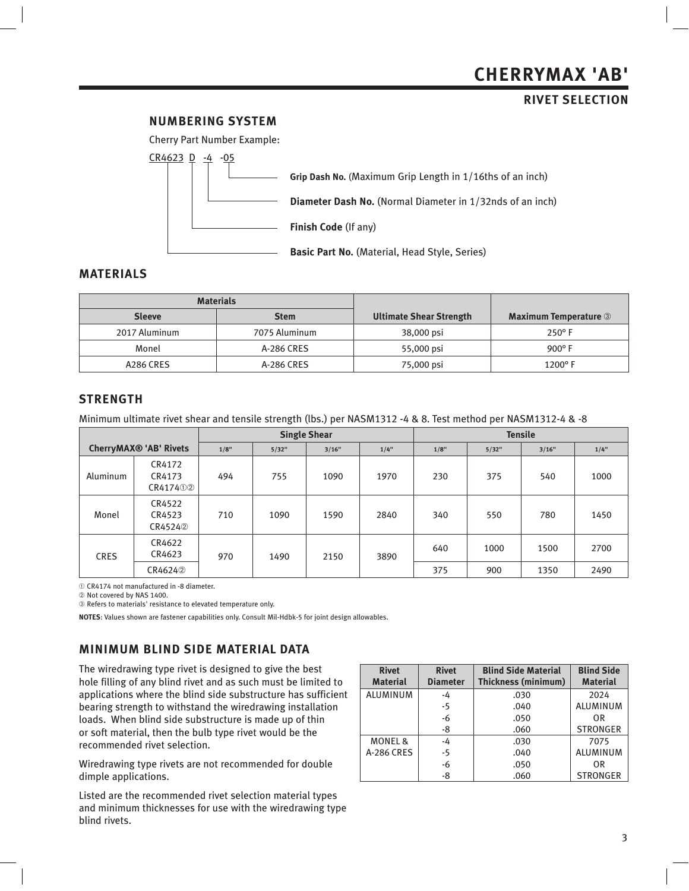#### **RIVET SELECTION**

#### **NUMBERING SYSTEM**



#### **MATERIALS**

|               | <b>Materials</b> |                                |                              |
|---------------|------------------|--------------------------------|------------------------------|
| <b>Sleeve</b> | <b>Stem</b>      | <b>Ultimate Shear Strength</b> | <b>Maximum Temperature 3</b> |
| 2017 Aluminum | 7075 Aluminum    | 38,000 psi                     | $250^{\circ}$ F              |
| Monel         | A-286 CRES       | 55,000 psi                     | 900 $\degree$ F              |
| A286 CRES     | A-286 CRES       | 75,000 psi                     | $1200^\circ$ F               |

#### **STRENGTH**

Minimum ultimate rivet shear and tensile strength (lbs.) per NASM1312 -4 & 8. Test method per NASM1312-4 & -8

|             |                               |      |       | <b>Single Shear</b> |      | <b>Tensile</b> |       |       |      |  |
|-------------|-------------------------------|------|-------|---------------------|------|----------------|-------|-------|------|--|
|             | <b>CherryMAX® 'AB' Rivets</b> | 1/8" | 5/32" | 3/16"               | 1/4" | 1/8"           | 5/32" | 3/16" | 1/4" |  |
| Aluminum    | CR4172<br>CR4173<br>CR417402  | 494  | 755   | 1090                | 1970 | 230            | 375   | 540   | 1000 |  |
| Monel       | CR4522<br>CR4523<br>CR45242   | 710  | 1090  | 1590                | 2840 | 340            | 550   | 780   | 1450 |  |
| <b>CRES</b> | CR4622<br>CR4623              | 970  | 1490  | 2150                | 3890 | 640            | 1000  | 1500  | 2700 |  |
|             | CR46242                       |      |       |                     |      | 375            | 900   | 1350  | 2490 |  |

CR4174 not manufactured in -8 diameter.

2 Not covered by NAS 1400.

Refers to materials' resistance to elevated temperature only.

**NOTES**: Values shown are fastener capabilities only. Consult Mil-Hdbk-5 for joint design allowables.

### **MINIMUM BLIND SIDE MATERIAL DATA**

The wiredrawing type rivet is designed to give the best hole filling of any blind rivet and as such must be limited to applications where the blind side substructure has sufficient bearing strength to withstand the wiredrawing installation loads. When blind side substructure is made up of thin or soft material, then the bulb type rivet would be the recommended rivet selection.

Wiredrawing type rivets are not recommended for double dimple applications.

Listed are the recommended rivet selection material types and minimum thicknesses for use with the wiredrawing type blind rivets.

| <b>Rivet</b>       | <b>Rivet</b>    | <b>Blind Side Material</b> | <b>Blind Side</b> |
|--------------------|-----------------|----------------------------|-------------------|
| <b>Material</b>    | <b>Diameter</b> | Thickness (minimum)        | <b>Material</b>   |
| <b>ALUMINUM</b>    | -4              | .030                       | 2024              |
|                    | $-5$            | .040                       | <b>ALUMINUM</b>   |
|                    | $-6$            | .050                       | 0R                |
|                    | $-8$            | .060                       | <b>STRONGER</b>   |
| <b>MONEL &amp;</b> | $-4$            | .030                       | 7075              |
| <b>A-286 CRES</b>  | $-5$            | .040                       | <b>ALUMINUM</b>   |
|                    | $-6$            | .050                       | 0R                |
|                    | -8              | .060                       | <b>STRONGER</b>   |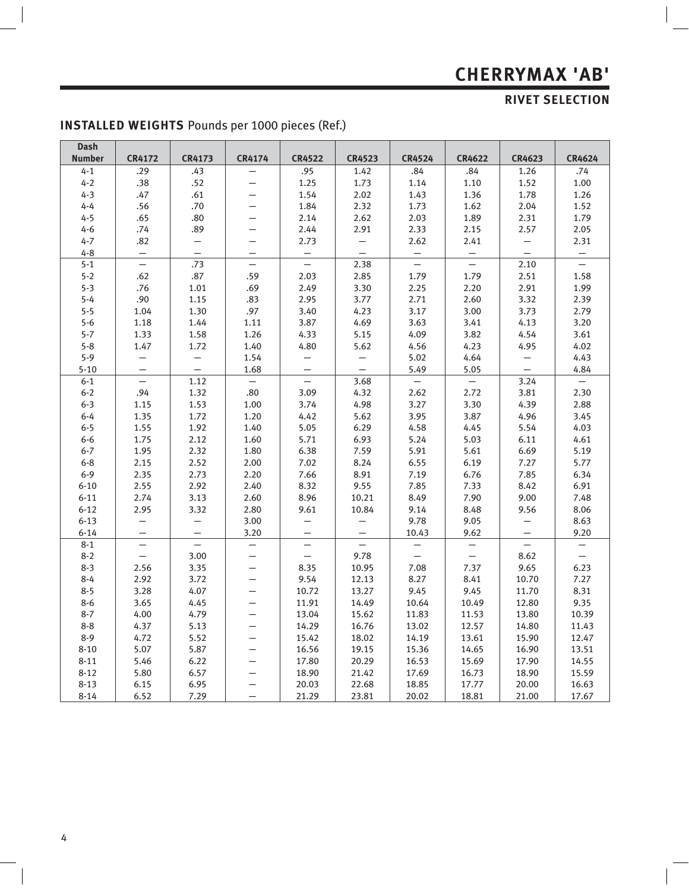## **RIVET SELECTION**

 $\Big\}$ 

| <b>Dash</b>   |                          |                          |                          |                          |                          |                   |                          |                   |                          |
|---------------|--------------------------|--------------------------|--------------------------|--------------------------|--------------------------|-------------------|--------------------------|-------------------|--------------------------|
| <b>Number</b> | <b>CR4172</b>            | CR4173                   | <b>CR4174</b>            | <b>CR4522</b>            | <b>CR4523</b>            | <b>CR4524</b>     | <b>CR4622</b>            | <b>CR4623</b>     | <b>CR4624</b>            |
| $4 - 1$       | .29                      | .43                      | $\overline{\phantom{0}}$ | .95                      | 1.42                     | .84               | .84                      | 1.26              | .74                      |
| $4 - 2$       | .38                      | .52                      |                          | 1.25                     | 1.73                     | 1.14              | 1.10                     | 1.52              | $1.00\,$                 |
| $4 - 3$       | .47                      | .61                      |                          | 1.54                     | 2.02                     | 1.43              | 1.36                     | 1.78              | 1.26                     |
| $4 - 4$       | .56                      | .70                      |                          | 1.84                     | 2.32                     | 1.73              | 1.62                     | 2.04              | 1.52                     |
| $4 - 5$       | .65                      | .80                      |                          | 2.14                     | 2.62                     | 2.03              | 1.89                     | 2.31              | 1.79                     |
| $4 - 6$       | .74                      | .89                      |                          | 2.44                     | 2.91                     | 2.33              | 2.15                     | 2.57              | 2.05                     |
| $4 - 7$       | .82                      |                          |                          | 2.73                     |                          | 2.62              | 2.41                     | $\qquad \qquad -$ | 2.31                     |
| $4 - 8$       | $\equiv$                 | $\equiv$                 |                          | $\overline{\phantom{0}}$ | $\equiv$                 | $\qquad \qquad -$ | $\overline{\phantom{m}}$ | $\equiv$          | $\qquad \qquad -$        |
| $5 - 1$       | $\frac{1}{2}$            | .73                      | $\qquad \qquad -$        | $\equiv$                 | 2.38                     | $\equiv$          | $\equiv$                 | 2.10              | $\equiv$                 |
| $5 - 2$       | .62                      | .87                      | .59                      | 2.03                     | 2.85                     | 1.79              | 1.79                     | 2.51              | 1.58                     |
| $5 - 3$       | .76                      | 1.01                     | .69                      | 2.49                     | 3.30                     | 2.25              | 2.20                     | 2.91              | 1.99                     |
| $5 - 4$       | .90                      | 1.15                     | .83                      | 2.95                     | 3.77                     | 2.71              | 2.60                     | 3.32              | 2.39                     |
| $5 - 5$       | 1.04                     | 1.30                     | .97                      | 3.40                     | 4.23                     | 3.17              | 3.00                     | 3.73              | 2.79                     |
| $5 - 6$       | 1.18                     | 1.44                     | 1.11                     | 3.87                     | 4.69                     | 3.63              | 3.41                     | 4.13              | 3.20                     |
| $5 - 7$       | 1.33                     | 1.58                     | 1.26                     | 4.33                     | 5.15                     | 4.09              | 3.82                     | 4.54              | 3.61                     |
| $5 - 8$       | 1.47                     | 1.72                     | 1.40                     | 4.80                     | 5.62                     | 4.56              | 4.23                     | 4.95              | 4.02                     |
| $5 - 9$       | $\qquad \qquad -$        | $\equiv$                 | 1.54                     | $\overline{\phantom{0}}$ | $\overline{\phantom{0}}$ | 5.02              | 4.64                     | $\qquad \qquad -$ | 4.43                     |
| $5 - 10$      | $\overline{\phantom{0}}$ | $\equiv$                 | 1.68                     | $\overline{\phantom{0}}$ | $\equiv$                 | 5.49              | 5.05                     | $\equiv$          | 4.84                     |
| $6 - 1$       | $-$                      | 1.12                     | $\equiv$                 | $\equiv$                 | 3.68                     | $-$               | $\overline{\phantom{m}}$ | 3.24              | $-$                      |
| $6 - 2$       | .94                      | 1.32                     | .80                      | 3.09                     | 4.32                     | 2.62              | 2.72                     | 3.81              | 2.30                     |
| $6 - 3$       | 1.15                     | 1.53                     | 1.00                     | 3.74                     | 4.98                     | 3.27              | 3.30                     | 4.39              | 2.88                     |
| $6 - 4$       | 1.35                     | 1.72                     | 1.20                     | 4.42                     | 5.62                     | 3.95              | 3.87                     | 4.96              | 3.45                     |
| $6 - 5$       | 1.55                     | 1.92                     | 1.40                     | 5.05                     | 6.29                     | 4.58              | 4.45                     | 5.54              | 4.03                     |
| $6-6$         | 1.75                     | 2.12                     | 1.60                     | 5.71                     | 6.93                     | 5.24              | 5.03                     | 6.11              | 4.61                     |
| $6 - 7$       | 1.95                     | 2.32                     | 1.80                     | 6.38                     | 7.59                     | 5.91              | 5.61                     | 6.69              | 5.19                     |
| $6 - 8$       | 2.15                     | 2.52                     | 2.00                     | 7.02                     | 8.24                     | 6.55              | 6.19                     | 7.27              | 5.77                     |
| $6 - 9$       | 2.35                     | 2.73                     | 2.20                     | 7.66                     | 8.91                     | 7.19              | 6.76                     | 7.85              | 6.34                     |
| $6 - 10$      | 2.55                     | 2.92                     | 2.40                     | 8.32                     | 9.55                     | 7.85              | 7.33                     | 8.42              | 6.91                     |
| $6 - 11$      | 2.74                     | 3.13                     | 2.60                     | 8.96                     | 10.21                    | 8.49              | 7.90                     | 9.00              | 7.48                     |
| $6 - 12$      | 2.95                     | 3.32                     | 2.80                     | 9.61                     | 10.84                    | 9.14              | 8.48                     | 9.56              | 8.06                     |
| $6 - 13$      | $\overline{\phantom{0}}$ | $\overline{\phantom{0}}$ | 3.00                     | $\overline{\phantom{0}}$ | $\overline{\phantom{0}}$ | 9.78              | 9.05                     | $\qquad \qquad -$ | 8.63                     |
| $6 - 14$      |                          |                          | 3.20                     |                          | $\overline{\phantom{0}}$ | 10.43             | 9.62                     |                   | 9.20                     |
| $8 - 1$       | $\equiv$                 | $\overline{\phantom{0}}$ | $\qquad \qquad -$        | $\qquad \qquad -$        | $\equiv$                 |                   | $\overline{\phantom{0}}$ | $\equiv$          | $\overline{\phantom{0}}$ |
| $8 - 2$       | $\frac{1}{2}$            | 3.00                     | $\qquad \qquad -$        |                          | 9.78                     |                   |                          | 8.62              | $\frac{1}{2}$            |
| $8 - 3$       | 2.56                     | 3.35                     | —                        | 8.35                     | 10.95                    | 7.08              | 7.37                     | 9.65              | 6.23                     |
| $8 - 4$       | 2.92                     | 3.72                     | $\overline{\phantom{0}}$ | 9.54                     | 12.13                    | 8.27              | 8.41                     | 10.70             | 7.27                     |
| $8 - 5$       | 3.28                     | 4.07                     | —                        | 10.72                    | 13.27                    | 9.45              | 9.45                     | 11.70             | 8.31                     |
| $8 - 6$       | 3.65                     | 4.45                     |                          | 11.91                    | 14.49                    | 10.64             | 10.49                    | 12.80             | 9.35                     |
| $8 - 7$       | 4.00                     | 4.79                     | $\overline{\phantom{0}}$ | 13.04                    | 15.62                    | 11.83             | 11.53                    | 13.80             | 10.39                    |
| $8 - 8$       | 4.37                     | 5.13                     |                          | 14.29                    | 16.76                    | 13.02             | 12.57                    | 14.80             | 11.43                    |
| $8 - 9$       | 4.72                     | 5.52                     |                          | 15.42                    | 18.02                    | 14.19             | 13.61                    | 15.90             | 12.47                    |
| $8 - 10$      | 5.07                     | 5.87                     |                          | 16.56                    | 19.15                    | 15.36             | 14.65                    | 16.90             | 13.51                    |
| $8 - 11$      | 5.46                     | 6.22                     |                          | 17.80                    | 20.29                    | 16.53             | 15.69                    | 17.90             | 14.55                    |
| $8 - 12$      | 5.80                     | 6.57                     |                          | 18.90                    | 21.42                    | 17.69             | 16.73                    | 18.90             | 15.59                    |
| $8 - 13$      | 6.15                     | 6.95                     |                          | 20.03                    | 22.68                    | 18.85             | 17.77                    | 20.00             | 16.63                    |
| $8 - 14$      | 6.52                     | 7.29                     | $\overline{\phantom{0}}$ | 21.29                    | 23.81                    | 20.02             | 18.81                    | 21.00             | 17.67                    |

## **INSTALLED WEIGHTS** Pounds per 1000 pieces (Ref.)

 $\overline{\phantom{a}}$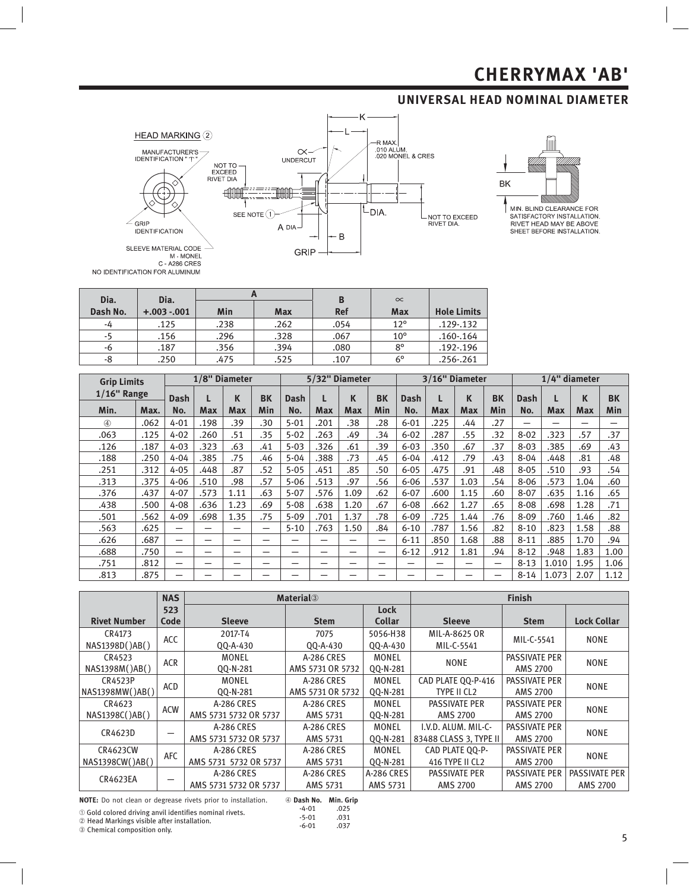## **UNIVERSAL HEAD NOMINAL DIAMETER**





MIN. BLIND CLEARANCE FOR SATISFACTORY INSTALLATION.<br>RIVET HEAD MAY BE ABOVE SHEET BEFORE INSTALLATION.

| Dia.     | Dia.         |      | ∽          | B          | $\infty$     |                    |
|----------|--------------|------|------------|------------|--------------|--------------------|
| Dash No. | $+.003-.001$ | Min  | <b>Max</b> | <b>Ref</b> | <b>Max</b>   | <b>Hole Limits</b> |
| -4       | .125         | .238 | .262       | .054       | $12^{\circ}$ | .129-.132          |
| -5       | .156         | .296 | .328       | .067       | $10^{\circ}$ | $.160 - .164$      |
| -6       | .187         | .356 | .394       | .080       | $8^{\circ}$  | .192-.196          |
| -8       | .250         | .475 | .525       | .107       | $6^{\circ}$  | .256-.261          |

| <b>Grip Limits</b> |      |          |      | 1/8" Diameter |           |          | 5/32" Diameter |            |           | 3/16" Diameter |            |            |     | $1/4$ " diameter |       |      |           |
|--------------------|------|----------|------|---------------|-----------|----------|----------------|------------|-----------|----------------|------------|------------|-----|------------------|-------|------|-----------|
| $1/16$ " Range     |      | Dash     |      | K             | <b>BK</b> | Dash     |                | К          | <b>BK</b> | Dash           |            | К          | BK  | Dash             |       | K    | <b>BK</b> |
| Min.               | Max. | No.      | Max  | Max           | Min       | No.      | <b>Max</b>     | <b>Max</b> | Min       | No.            | <b>Max</b> | <b>Max</b> | Min | No.              | Max   | Max  | Min       |
| $\circled{4}$      | .062 | $4 - 01$ | .198 | .39           | .30       | $5 - 01$ | .201           | .38        | .28       | $6 - 01$       | .225       | .44        | .27 | -                |       |      | -         |
| .063               | .125 | $4 - 02$ | .260 | .51           | .35       | $5 - 02$ | .263           | .49        | .34       | $6 - 02$       | .287       | .55        | .32 | $8 - 02$         | .323  | .57  | .37       |
| .126               | .187 | $4 - 03$ | .323 | .63           | .41       | $5 - 03$ | .326           | .61        | .39       | $6 - 03$       | .350       | .67        | .37 | $8 - 03$         | .385  | .69  | .43       |
| .188               | .250 | $4 - 04$ | .385 | .75           | .46       | $5 - 04$ | .388           | .73        | .45       | $6 - 04$       | .412       | .79        | .43 | $8 - 04$         | .448  | .81  | .48       |
| .251               | .312 | $4 - 05$ | .448 | .87           | .52       | $5 - 05$ | .451           | .85        | .50       | $6 - 05$       | .475       | .91        | .48 | $8 - 05$         | .510  | .93  | .54       |
| .313               | .375 | $4 - 06$ | .510 | .98           | .57       | $5 - 06$ | .513           | .97        | .56       | $6 - 06$       | .537       | 1.03       | .54 | $8 - 06$         | .573  | 1.04 | .60       |
| .376               | .437 | $4 - 07$ | .573 | 1.11          | .63       | $5 - 07$ | .576           | 1.09       | .62       | $6 - 07$       | .600       | 1.15       | .60 | $8 - 07$         | .635  | 1.16 | .65       |
| .438               | .500 | $4 - 08$ | .636 | 1.23          | .69       | $5 - 08$ | .638           | 1.20       | .67       | $6 - 08$       | .662       | 1.27       | .65 | $8 - 08$         | .698  | 1.28 | .71       |
| .501               | .562 | $4 - 09$ | .698 | 1.35          | .75       | $5 - 09$ | .701           | 1.37       | .78       | $6 - 09$       | .725       | 1.44       | .76 | $8 - 09$         | .760  | 1.46 | .82       |
| .563               | .625 | —        | –    | -             | —         | $5 - 10$ | .763           | 1.50       | .84       | $6 - 10$       | .787       | 1.56       | .82 | $8 - 10$         | .823  | 1.58 | .88       |
| .626               | .687 | —        | -    | -             | –         | -        |                |            | -         | $6 - 11$       | .850       | 1.68       | .88 | $8 - 11$         | .885  | 1.70 | .94       |
| .688               | .750 | —        | -    | –             | –         | –        | -              | -          | -         | $6 - 12$       | .912       | 1.81       | .94 | $8 - 12$         | .948  | 1.83 | 1.00      |
| .751               | .812 | –        | -    | –             | –         |          |                |            |           | -              | –          | –          | —   | $8 - 13$         | 1.010 | 1.95 | 1.06      |
| .813               | .875 |          |      | -             |           |          |                |            |           | -              | –          | –          |     | $8 - 14$         | 1.073 | 2.07 | 1.12      |

|                     | <b>NAS</b> |                          | <b>Material</b> <sup>3</sup> |               |                        | <b>Finish</b>        |                      |  |
|---------------------|------------|--------------------------|------------------------------|---------------|------------------------|----------------------|----------------------|--|
|                     | 523        |                          |                              | <b>Lock</b>   |                        |                      |                      |  |
| <b>Rivet Number</b> | Code       | <b>Sleeve</b>            | <b>Stem</b>                  | <b>Collar</b> | <b>Sleeve</b>          | <b>Stem</b>          | <b>Lock Collar</b>   |  |
| CR4173              | <b>ACC</b> | 2017-T4                  | 7075                         |               | MIL-A-8625 OR          | MIL-C-5541           | <b>NONE</b>          |  |
| NAS1398D()AB()      |            | 00-A-430                 | $00 - A - 430$               | 00-A-430      | MIL-C-5541             |                      |                      |  |
| CR4523              | <b>ACR</b> | <b>MONEL</b>             | A-286 CRES                   | <b>MONEL</b>  | <b>NONE</b>            | <b>PASSIVATE PER</b> | <b>NONE</b>          |  |
| NAS1398M()AB()      |            | QQ-N-281                 | AMS 5731 OR 5732             | QQ-N-281      |                        | <b>AMS 2700</b>      |                      |  |
| CR4523P             | <b>ACD</b> | <b>MONEL</b>             | A-286 CRES                   | <b>MONEL</b>  | CAD PLATE QQ-P-416     | <b>PASSIVATE PER</b> | <b>NONE</b>          |  |
| NAS1398MW()AB()     |            | 00-N-281                 | AMS 5731 OR 5732             | 00-N-281      | TYPE II CL2            | <b>AMS 2700</b>      |                      |  |
| CR4623              | <b>ACW</b> | A-286 CRES<br>A-286 CRES |                              | <b>MONEL</b>  | <b>PASSIVATE PER</b>   | <b>PASSIVATE PER</b> | <b>NONE</b>          |  |
| NAS1398C()AB()      |            | AMS 5731 5732 OR 5737    | AMS 5731                     | QQ-N-281      | AMS 2700               | AMS 2700             |                      |  |
| CR4623D             |            | A-286 CRES               | A-286 CRES                   | <b>MONEL</b>  | I.V.D. ALUM. MIL-C-    | <b>PASSIVATE PER</b> | <b>NONE</b>          |  |
|                     |            | AMS 5731 5732 OR 5737    | AMS 5731                     | QQ-N-281      | 83488 CLASS 3. TYPE II | <b>AMS 2700</b>      |                      |  |
| CR4623CW            | AFC        | A-286 CRES               | A-286 CRES                   | <b>MONEL</b>  | CAD PLATE 00-P-        | <b>PASSIVATE PER</b> | <b>NONE</b>          |  |
| NAS1398CW()AB()     |            | AMS 5731 5732 OR 5737    | AMS 5731                     | QQ-N-281      | 416 TYPE II CL2        | AMS 2700             |                      |  |
| <b>CR4623EA</b>     |            | A-286 CRES               | A-286 CRES                   | A-286 CRES    | <b>PASSIVATE PER</b>   | <b>PASSIVATE PER</b> | <b>PASSIVATE PER</b> |  |
|                     |            | AMS 5731 5732 OR 5737    | AMS 5731                     | AMS 5731      | <b>AMS 2700</b>        | AMS 2700             | <b>AMS 2700</b>      |  |

**NOTE:** Do not clean or degrease rivets prior to installation.

Gold colored driving anvil identifies nominal rivets. Head Markings visible after installation. Chemical composition only.

-5-01 .031<br>-6-01 .037  $-6 - 01$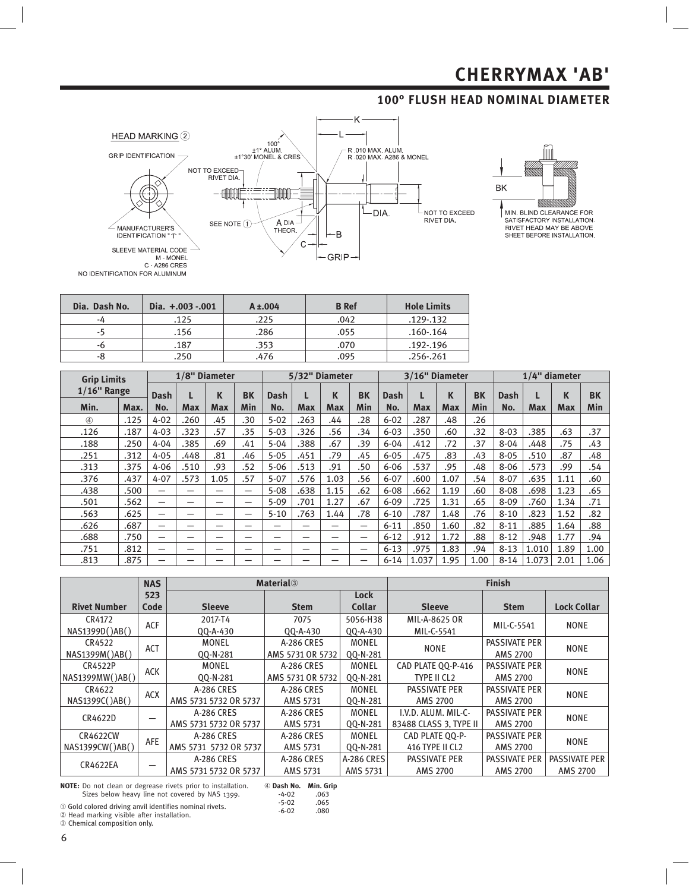## **100° FLUSH HEAD NOMINAL DIAMETER**





**ENVET HEAD MAY BE ABOVE**<br>SHEET BEFORE INSTALLATION.

| Dia. Dash No. | Dia. +.003 -.001 | $A \pm 004$ | <b>B</b> Ref | <b>Hole Limits</b> |
|---------------|------------------|-------------|--------------|--------------------|
| -4            | .125             | .225        | .042         | .129-.132          |
| -5            | .156             | .286        | .055         | .160-.164          |
| -6            | .187             | .353        | .070         | .192-.196          |
| -8            | .250             | .476        | .095         | .256-.261          |

| <b>Grip Limits</b> |      |          |      | 1/8" Diameter |            | 5/32" Diameter |            |      | 3/16" Diameter           |          |            |            | $1/4$ " diameter |          |       |      |           |
|--------------------|------|----------|------|---------------|------------|----------------|------------|------|--------------------------|----------|------------|------------|------------------|----------|-------|------|-----------|
| $1/16$ " Range     |      | Dash     |      | K             | <b>BK</b>  | Dash           |            | K    | <b>BK</b>                | Dash     |            | К          | BK               | Dash     |       | K    | <b>BK</b> |
| Min.               | Max. | No.      | Max  | <b>Max</b>    | <b>Min</b> | No.            | <b>Max</b> | Max  | Min                      | No.      | <b>Max</b> | <b>Max</b> | Min              | No.      | Max   | Max  | Min       |
| $^{\circledA}$     | .125 | $4 - 02$ | .260 | .45           | .30        | $5 - 02$       | .263       | .44  | .28                      | $6 - 02$ | .287       | .48        | .26              |          |       |      |           |
| .126               | .187 | $4 - 03$ | .323 | .57           | .35        | $5 - 03$       | .326       | .56  | .34                      | $6 - 03$ | .350       | .60        | .32              | $8 - 03$ | .385  | .63  | .37       |
| .188               | .250 | $4 - 04$ | .385 | .69           | .41        | $5 - 04$       | .388       | .67  | .39                      | $6 - 04$ | .412       | .72        | .37              | $8 - 04$ | .448  | .75  | .43       |
| .251               | .312 | $4 - 05$ | .448 | .81           | .46        | $5 - 05$       | .451       | .79  | .45                      | $6 - 05$ | .475       | .83        | .43              | $8 - 05$ | .510  | .87  | .48       |
| .313               | .375 | $4 - 06$ | .510 | .93           | .52        | $5 - 06$       | .513       | .91  | .50                      | $6 - 06$ | .537       | .95        | .48              | $8 - 06$ | .573  | .99  | .54       |
| .376               | .437 | $4 - 07$ | .573 | 1.05          | .57        | $5 - 07$       | .576       | 1.03 | .56                      | $6 - 07$ | .600       | 1.07       | .54              | $8 - 07$ | .635  | 1.11 | .60       |
| .438               | .500 |          |      |               | –          | $5 - 08$       | .638       | 1.15 | .62                      | $6 - 08$ | .662       | 1.19       | .60              | $8 - 08$ | .698  | 1.23 | .65       |
| .501               | .562 | -        | -    |               | –          | $5 - 09$       | .701       | 1.27 | .67                      | $6 - 09$ | .725       | 1.31       | .65              | $8 - 09$ | .760  | 1.34 | .71       |
| .563               | .625 | -        | -    | –             | –          | $5 - 10$       | .763       | 1.44 | .78                      | $6 - 10$ | .787       | 1.48       | .76              | $8 - 10$ | .823  | 1.52 | .82       |
| .626               | .687 | -        | -    | –             | -          | –              | -          |      | -                        | $6 - 11$ | .850       | 1.60       | .82              | $8 - 11$ | .885  | 1.64 | .88       |
| .688               | .750 | -        | –    |               | -          | -              | -          |      | —                        | $6 - 12$ | .912       | 1.72       | .88              | $8 - 12$ | .948  | 1.77 | .94       |
| .751               | .812 | -        | -    | –             | -          | –              | -          |      | $\overline{\phantom{0}}$ | $6 - 13$ | .975       | 1.83       | .94              | $8 - 13$ | 1.010 | 1.89 | 1.00      |
| .813               | .875 |          |      |               |            |                |            |      |                          | $6 - 14$ | 1.037      | 1.95       | 1.00             | $8 - 14$ | 1.073 | 2.01 | 1.06      |

|                     | <b>NAS</b> |                       | <b>Material</b> <sup>3</sup> |               |                        | <b>Finish</b>        |                      |  |
|---------------------|------------|-----------------------|------------------------------|---------------|------------------------|----------------------|----------------------|--|
|                     | 523        | <b>Lock</b>           |                              |               |                        |                      |                      |  |
| <b>Rivet Number</b> | Code       | <b>Sleeve</b>         | <b>Stem</b>                  | <b>Collar</b> | <b>Sleeve</b>          | <b>Stem</b>          | <b>Lock Collar</b>   |  |
| CR4172              | ACF        | 2017-T4               | 7075                         | 5056-H38      | MIL-A-8625 OR          | MIL-C-5541           | <b>NONE</b>          |  |
| NAS1399D()AB()      |            | 00-A-430              | QQ-A-430                     | 00-A-430      | MIL-C-5541             |                      |                      |  |
| CR4522              | ACT        | <b>MONEL</b>          | A-286 CRES                   | <b>MONEL</b>  | <b>NONE</b>            | <b>PASSIVATE PER</b> | <b>NONE</b>          |  |
| NAS1399M()AB()      |            | QQ-N-281              | AMS 5731 OR 5732             | QQ-N-281      |                        | <b>AMS 2700</b>      |                      |  |
| CR4522P             | <b>ACK</b> | MONEL                 | A-286 CRES                   | <b>MONEL</b>  | CAD PLATE QQ-P-416     | <b>PASSIVATE PER</b> | <b>NONE</b>          |  |
| NAS1399MW()AB()     |            | 00-N-281              | AMS 5731 OR 5732             | QQ-N-281      | TYPE II CL2            | <b>AMS 2700</b>      |                      |  |
| CR4622              | <b>ACX</b> | A-286 CRES            | A-286 CRES                   | MONEL         | <b>PASSIVATE PER</b>   | <b>PASSIVATE PER</b> | <b>NONE</b>          |  |
| NAS1399C()AB()      |            | AMS 5731 5732 OR 5737 | AMS 5731                     | QQ-N-281      | AMS 2700               | AMS 2700             |                      |  |
| CR4622D             |            | A-286 CRES            | A-286 CRES                   | MONEL         | I.V.D. ALUM. MIL-C-    | <b>PASSIVATE PER</b> | <b>NONE</b>          |  |
|                     |            | AMS 5731 5732 OR 5737 | AMS 5731                     | 00-N-281      | 83488 CLASS 3. TYPE II | <b>AMS 2700</b>      |                      |  |
| <b>CR4622CW</b>     | AFE        | A-286 CRES            | A-286 CRES                   | MONEL         | CAD PLATE 00-P-        | <b>PASSIVATE PER</b> | <b>NONE</b>          |  |
| NAS1399CW()AB()     |            | AMS 5731 5732 OR 5737 | AMS 5731                     | QQ-N-281      | 416 TYPE II CL2        | <b>AMS 2700</b>      |                      |  |
| <b>CR4622EA</b>     |            | A-286 CRES            | A-286 CRES                   | A-286 CRES    | <b>PASSIVATE PER</b>   | <b>PASSIVATE PER</b> | <b>PASSIVATE PER</b> |  |
|                     |            | AMS 5731 5732 OR 5737 | AMS 5731                     | AMS 5731      | AMS 2700               | <b>AMS 2700</b>      | <b>AMS 2700</b>      |  |

**NOTE:** Do not clean or degrease rivets prior to installation.<br>Sizes below heavy line not covered by NAS 1399.

 **Dash No. Min. Grip**

① Gold colored driving anvil identifies nominal rivets.<br>② Head marking visible after installation.<br>③ Chemical composition only. -4-02 .063<br>-5-02 .065 -5-02 .065<br>-6-02 .080  $-6-02$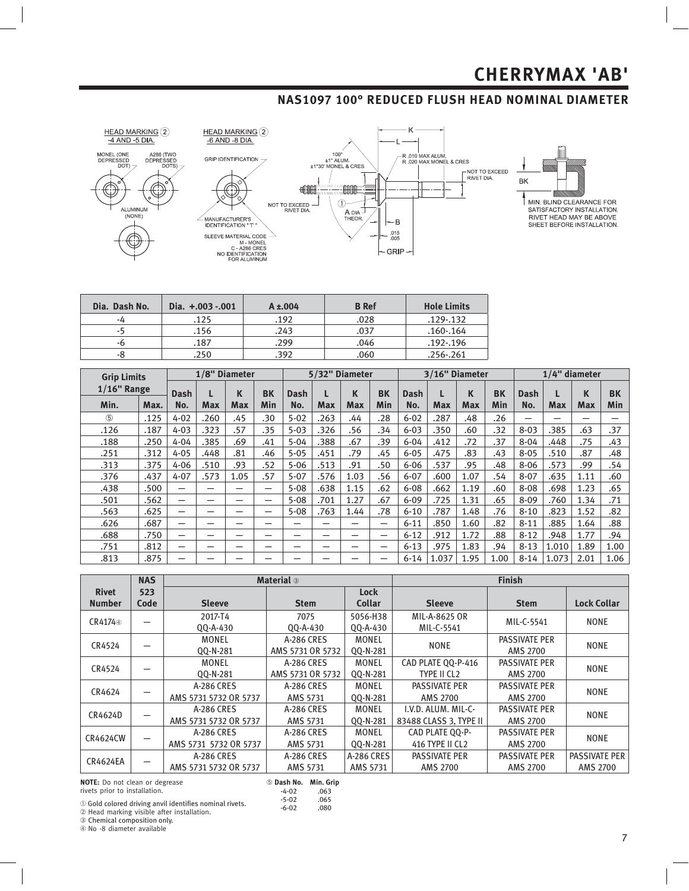### **NAS1097 100° REDUCED FLUSH HEAD NOMINAL DIAMETER**





MIN. BLIND CLEARANCE FOR<br>SATISFACTORY INSTALLATION.<br>RIVET HEAD MAY BE ABOVE SHEET BEFORE INSTALLATION.

| Dia. Dash No. | Dia. +.003 -.001 | $A \pm 004$ | <b>B</b> Ref | <b>Hole Limits</b> |
|---------------|------------------|-------------|--------------|--------------------|
| -4            | .125             | .192        | .028         | .129-.132          |
| -5            | .156             | .243        | .037         | $.160 - .164$      |
| -6            | .187             | .299        | .046         | .192-.196          |
| -8            | 250              | .392        | .060         | $.256 - .261$      |

| <b>Grip Limits</b> |      | 1/8" Diameter |            |            |                          |          | 5/32" Diameter |            |     | 3/16" Diameter |            |            |           | $1/4$ " diameter |            |            |           |
|--------------------|------|---------------|------------|------------|--------------------------|----------|----------------|------------|-----|----------------|------------|------------|-----------|------------------|------------|------------|-----------|
| $1/16$ " Range     |      | Dash          |            | K          | <b>BK</b>                | Dash     |                | К          | BK  | Dash           |            | K          | <b>BK</b> | Dash             |            | К          | <b>BK</b> |
| Min.               | Max. | No.           | <b>Max</b> | <b>Max</b> | Min                      | No.      | Max            | <b>Max</b> | Min | No.            | <b>Max</b> | <b>Max</b> | Min       | No.              | <b>Max</b> | <b>Max</b> | Min       |
| (5)                | .125 | $4 - 02$      | .260       | .45        | .30                      | $5 - 02$ | .263           | .44        | .28 | $6 - 02$       | .287       | .48        | .26       | -                |            |            |           |
| .126               | .187 | $4 - 03$      | .323       | .57        | .35                      | $5 - 03$ | .326           | .56        | .34 | $6 - 03$       | .350       | .60        | .32       | $8 - 03$         | .385       | .63        | .37       |
| .188               | .250 | $4 - 04$      | .385       | .69        | .41                      | $5 - 04$ | .388           | .67        | .39 | $6 - 04$       | .412       | .72        | .37       | $8 - 04$         | .448       | .75        | .43       |
| .251               | .312 | $4 - 05$      | .448       | .81        | .46                      | $5 - 05$ | .451           | .79        | .45 | $6 - 05$       | .475       | .83        | .43       | $8 - 05$         | .510       | .87        | .48       |
| .313               | .375 | $4 - 06$      | .510       | .93        | .52                      | $5 - 06$ | .513           | .91        | .50 | $6 - 06$       | .537       | .95        | .48       | $8 - 06$         | .573       | .99        | .54       |
| .376               | .437 | $4 - 07$      | .573       | 1.05       | .57                      | $5 - 07$ | .576           | 1.03       | .56 | $6 - 07$       | .600       | 1.07       | .54       | $8 - 07$         | .635       | 1.11       | .60       |
| .438               | .500 | —             | –          | –          | $\overline{\phantom{0}}$ | $5 - 08$ | .638           | 1.15       | .62 | $6 - 08$       | .662       | 1.19       | .60       | $8 - 08$         | .698       | 1.23       | .65       |
| .501               | .562 | —             | -          | -          | -                        | $5 - 08$ | .701           | 1.27       | .67 | $6 - 09$       | .725       | 1.31       | .65       | $8 - 09$         | .760       | 1.34       | .71       |
| .563               | .625 | -             | -          | -          | -                        | $5 - 08$ | .763           | 1.44       | .78 | $6 - 10$       | .787       | 1.48       | .76       | $8 - 10$         | .823       | 1.52       | .82       |
| .626               | .687 | —             | -          |            |                          | –        | –              |            | —   | $6 - 11$       | .850       | 1.60       | .82       | $8 - 11$         | .885       | 1.64       | .88       |
| .688               | .750 | —             | -          | –          | –                        | –        | -              | -          | –   | $6 - 12$       | .912       | 1.72       | .88       | $8 - 12$         | .948       | 1.77       | .94       |
| .751               | .812 | —             | -          | –          | –                        | –        | –              | --         | -   | $6 - 13$       | .975       | 1.83       | .94       | $8 - 13$         | 1.010      | 1.89       | 1.00      |
| .813               | .875 | -             |            |            |                          |          |                |            | -   | $6 - 14$       | 1.037      | 1.95       | 1.00      | $8 - 14$         | 1.073      | 2.01       | 1.06      |

|                     | <b>NAS</b> |                       | <b>Material</b> 3 |               |                        | <b>Finish</b>        |                    |  |
|---------------------|------------|-----------------------|-------------------|---------------|------------------------|----------------------|--------------------|--|
| <b>Rivet</b>        | 523        |                       |                   | <b>Lock</b>   |                        |                      |                    |  |
| <b>Number</b>       | Code       | <b>Sleeve</b>         | <b>Stem</b>       | <b>Collar</b> | <b>Sleeve</b>          | <b>Stem</b>          | <b>Lock Collar</b> |  |
|                     |            | 2017-T4               | 7075              | 5056-H38      | MIL-A-8625 OR          | MIL-C-5541           | <b>NONE</b>        |  |
| CR4174 <sup>®</sup> |            | QQ-A-430              | QQ-A-430          | QQ-A-430      | MIL-C-5541             |                      |                    |  |
| CR4524              |            | MONEL                 | A-286 CRES        | MONEL         | <b>NONE</b>            | <b>PASSIVATE PER</b> | <b>NONE</b>        |  |
|                     |            | 00-N-281              | AMS 5731 OR 5732  | QQ-N-281      |                        | AMS 2700             |                    |  |
| CR4524              |            | <b>MONEL</b>          | A-286 CRES        | <b>MONEL</b>  | CAD PLATE QQ-P-416     | <b>PASSIVATE PER</b> | <b>NONE</b>        |  |
|                     |            | 00-N-281              | AMS 5731 OR 5732  | 00-N-281      | TYPE II CL2            | AMS 2700             |                    |  |
| CR4624              |            | A-286 CRES            | A-286 CRES        | <b>MONEL</b>  | <b>PASSIVATE PER</b>   | <b>PASSIVATE PER</b> | <b>NONE</b>        |  |
|                     |            | AMS 5731 5732 OR 5737 | AMS 5731          | 00-N-281      | AMS 2700               | AMS 2700             |                    |  |
| CR4624D             |            | A-286 CRES            | A-286 CRES        | MONEL         | I.V.D. ALUM. MIL-C-    | <b>PASSIVATE PER</b> | <b>NONE</b>        |  |
|                     |            | AMS 5731 5732 OR 5737 | AMS 5731          | QQ-N-281      | 83488 CLASS 3. TYPE II | <b>AMS 2700</b>      |                    |  |
| <b>CR4624CW</b>     |            | A-286 CRES            | A-286 CRES        | MONEL         | CAD PLATE QQ-P-        | <b>PASSIVATE PER</b> | <b>NONE</b>        |  |
|                     |            | AMS 5731 5732 OR 5737 | AMS 5731          | 00-N-281      | 416 TYPE II CL2        | <b>AMS 2700</b>      |                    |  |
| <b>CR4624EA</b>     |            | A-286 CRES            | A-286 CRES        | A-286 CRES    | <b>PASSIVATE PER</b>   | <b>PASSIVATE PER</b> | PASSIVATE PER      |  |
|                     |            | AMS 5731 5732 OR 5737 | AMS 5731          | AMS 5731      | AMS 2700               | <b>AMS 2700</b>      | <b>AMS 2700</b>    |  |

**NOTE:** Do not clean or degrease THET TO THE STERN OF SIG

### **Dash No. Min. Grip**

-4-02 .063 -5-02 .065<br>-6-02 .080  $-6 - 02$ 

① Gold colored driving anvil identifies nominal rivets.<br>② Head marking visible after installation.<br>③ Chemical composition only.

**4** No -8 diameter available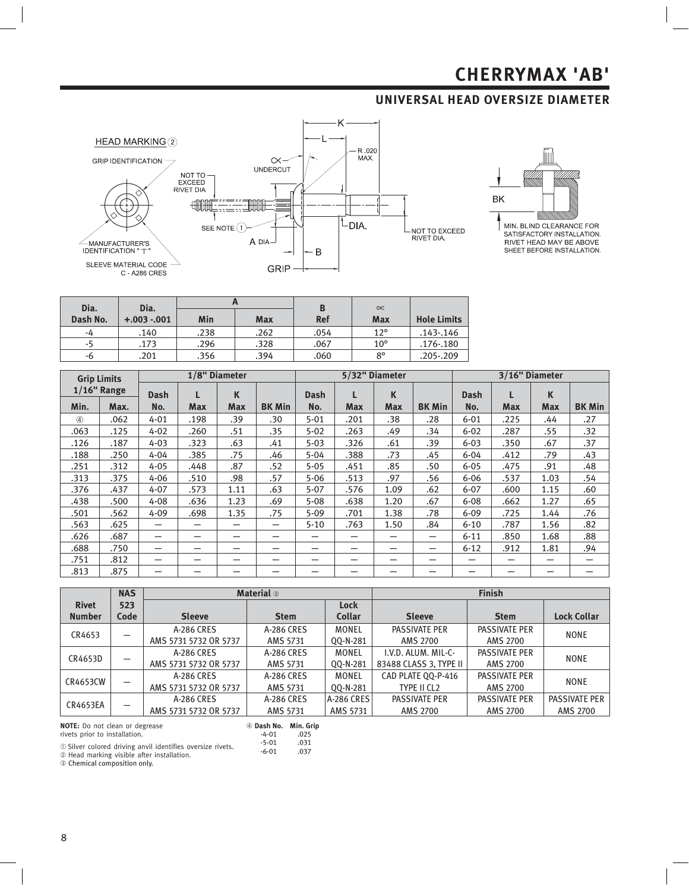### **UNIVERSAL HEAD OVERSIZE DIAMETER**





SATISFACTORY INSTALLATION.<br>RIVET HEAD MAY BE ABOVE<br>SHEET BEFORE INSTALLATION.

| Dia.     | Dia.         |      |            | B          | $\infty$     |                    |
|----------|--------------|------|------------|------------|--------------|--------------------|
| Dash No. | $+.003-.001$ | Min  | <b>Max</b> | <b>Ref</b> | Max          | <b>Hole Limits</b> |
| -4       | .140         | .238 | .262       | .054       | $12^{\circ}$ | .143-.146          |
| -5       | .173         | .296 | .328       | .067       | $10^{\circ}$ | .176-.180          |
| -6       | .201         | .356 | .394       | .060       | $8^{\circ}$  | .205-.209          |

| <b>Grip Limits</b> |                |                          |            | 5/32" Diameter<br>1/8" Diameter |               |             |            | 3/16" Diameter |                          |             |            |            |               |
|--------------------|----------------|--------------------------|------------|---------------------------------|---------------|-------------|------------|----------------|--------------------------|-------------|------------|------------|---------------|
|                    | $1/16$ " Range | <b>Dash</b>              | L          | K                               |               | <b>Dash</b> |            | K              |                          | <b>Dash</b> |            | K          |               |
| Min.               | Max.           | No.                      | <b>Max</b> | <b>Max</b>                      | <b>BK Min</b> | No.         | <b>Max</b> | <b>Max</b>     | <b>BK Min</b>            | No.         | <b>Max</b> | <b>Max</b> | <b>BK Min</b> |
| $\circled{4}$      | .062           | $4 - 01$                 | .198       | .39                             | .30           | $5 - 01$    | .201       | .38            | .28                      | $6 - 01$    | .225       | .44        | .27           |
| .063               | .125           | $4 - 02$                 | .260       | .51                             | .35           | $5 - 02$    | .263       | .49            | .34                      | $6 - 02$    | .287       | .55        | .32           |
| .126               | .187           | $4 - 03$                 | .323       | .63                             | .41           | $5 - 03$    | .326       | .61            | .39                      | $6 - 03$    | .350       | .67        | .37           |
| .188               | .250           | $4 - 04$                 | .385       | .75                             | .46           | $5 - 04$    | .388       | .73            | .45                      | $6 - 04$    | .412       | .79        | .43           |
| .251               | .312           | $4 - 05$                 | .448       | .87                             | .52           | $5 - 05$    | .451       | .85            | .50                      | $6 - 05$    | .475       | .91        | .48           |
| .313               | .375           | $4 - 06$                 | .510       | .98                             | .57           | $5 - 06$    | .513       | .97            | .56                      | $6 - 06$    | .537       | 1.03       | .54           |
| .376               | .437           | $4 - 07$                 | .573       | 1.11                            | .63           | $5 - 07$    | .576       | 1.09           | .62                      | $6 - 07$    | .600       | 1.15       | .60           |
| .438               | .500           | $4 - 08$                 | .636       | 1.23                            | .69           | $5 - 08$    | .638       | 1.20           | .67                      | $6 - 08$    | .662       | 1.27       | .65           |
| .501               | .562           | $4 - 09$                 | .698       | 1.35                            | .75           | $5 - 09$    | .701       | 1.38           | .78                      | $6 - 09$    | .725       | 1.44       | .76           |
| .563               | .625           | –                        |            |                                 | —             | $5 - 10$    | .763       | 1.50           | .84                      | $6 - 10$    | .787       | 1.56       | .82           |
| .626               | .687           | –                        |            |                                 | –             |             |            | –              | $\overline{\phantom{0}}$ | $6 - 11$    | .850       | 1.68       | .88           |
| .688               | .750           | -                        | -          |                                 | -             | -           |            | –              | -                        | $6 - 12$    | .912       | 1.81       | .94           |
| .751               | .812           | $\overline{\phantom{0}}$ |            |                                 | -             | -           |            | —              |                          |             | –          | –          |               |
| .813               | .875           |                          |            |                                 |               |             |            |                |                          |             |            |            |               |

|                 | <b>NAS</b> |                       | <b>Material</b> 3                               |               | <b>Finish</b>          |                      |                    |  |  |
|-----------------|------------|-----------------------|-------------------------------------------------|---------------|------------------------|----------------------|--------------------|--|--|
| <b>Rivet</b>    | 523        |                       |                                                 | Lock          |                        |                      |                    |  |  |
| <b>Number</b>   | Code       | <b>Sleeve</b>         | <b>Stem</b>                                     | <b>Collar</b> | <b>Sleeve</b>          | <b>Stem</b>          | <b>Lock Collar</b> |  |  |
|                 |            | A-286 CRES            | A-286 CRES                                      | <b>MONEL</b>  | <b>PASSIVATE PER</b>   | PASSIVATE PER        | <b>NONE</b>        |  |  |
| CR4653          |            | AMS 5731 5732 OR 5737 | AMS 5731                                        | QQ-N-281      | <b>AMS 2700</b>        | AMS 2700             |                    |  |  |
|                 |            | A-286 CRES            | A-286 CRES                                      | <b>MONEL</b>  | I.V.D. ALUM. MIL-C-    | <b>PASSIVATE PER</b> | <b>NONE</b>        |  |  |
| CR4653D         |            | AMS 5731 5732 OR 5737 | AMS 5731                                        | QQ-N-281      | 83488 CLASS 3. TYPE II | AMS 2700             |                    |  |  |
| CR4653CW        |            | A-286 CRES            | A-286 CRES<br>AMS 5731 5732 OR 5737<br>AMS 5731 |               | CAD PLATE 00-P-416     | <b>PASSIVATE PER</b> | <b>NONE</b>        |  |  |
|                 |            |                       |                                                 |               | TYPE II CL2            | AMS 2700             |                    |  |  |
| <b>CR4653EA</b> |            | A-286 CRES            | A-286 CRES                                      | A-286 CRES    | <b>PASSIVATE PER</b>   | <b>PASSIVATE PER</b> | PASSIVATE PER      |  |  |
|                 | –          | AMS 5731 5732 OR 5737 | AMS 5731                                        | AMS 5731      | AMS 2700               | <b>AMS 2700</b>      | AMS 2700           |  |  |

**NOTE:** Do not clean or degrease



rivets prior to installation.

-4-01 .025<br>-5-01 .031 -5-01 .031<br>-6-01 .037

 $-6 - 01$ 

① Silver colored driving anvil identifies oversize rivets.<br>② Head marking visible after installation.<br>③ Chemical composition only.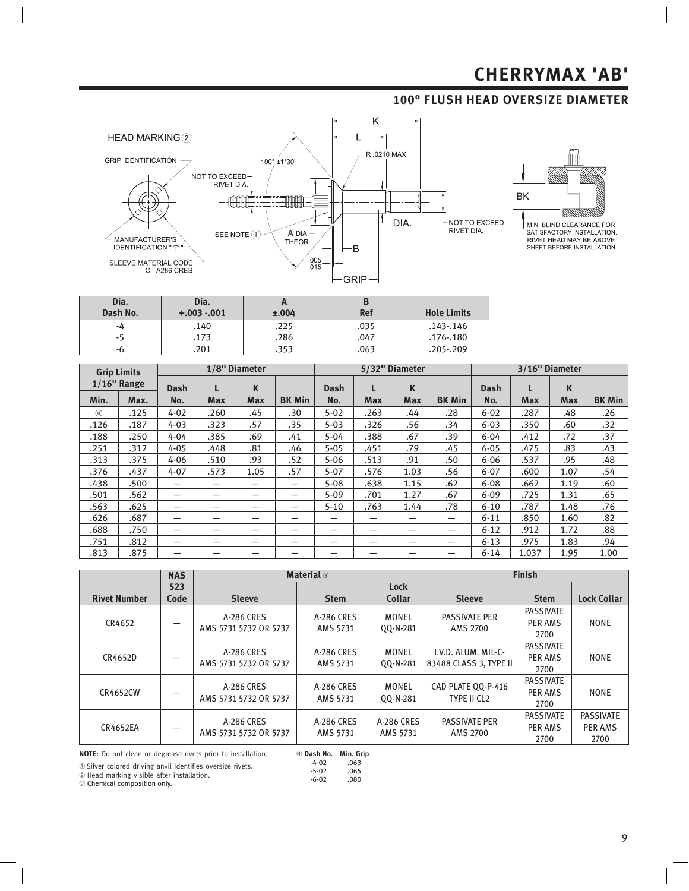### **100° FLUSH HEAD OVERSIZE DIAMETER**





NIN. BLIND CLEARANCE FOR<br>SATISFACTORY INSTALLATION.<br>RIVET HEAD MAY BE ABOVE<br>SHEET BEFORE INSTALLATION.

| Dia.<br>Dash No. | Dia.<br>$+.003-.001$ | ±.004 | D<br><b>Ref</b> | <b>Hole Limits</b> |
|------------------|----------------------|-------|-----------------|--------------------|
| -4               | .140                 | .225  | .035            | $.143 - .146$      |
| -5               | .173                 | .286  | 047.            | .176-.180          |
| -6               | .201                 | .353  | .063            | .205-.209          |

| <b>Grip Limits</b> |                |                          |            | 1/8" Diameter |                          |             |            | 5/32" Diameter |               | 3/16" Diameter |            |            |               |
|--------------------|----------------|--------------------------|------------|---------------|--------------------------|-------------|------------|----------------|---------------|----------------|------------|------------|---------------|
|                    | $1/16$ " Range | <b>Dash</b>              |            | K             |                          | <b>Dash</b> |            | K              |               | Dash           |            | K          |               |
| Min.               | Max.           | No.                      | <b>Max</b> | <b>Max</b>    | <b>BK Min</b>            | No.         | <b>Max</b> | <b>Max</b>     | <b>BK Min</b> | No.            | <b>Max</b> | <b>Max</b> | <b>BK Min</b> |
| $\circled{4}$      | .125           | $4 - 02$                 | .260       | .45           | .30                      | $5 - 02$    | .263       | .44            | .28           | $6 - 02$       | .287       | .48        | .26           |
| .126               | .187           | $4 - 03$                 | .323       | .57           | .35                      | $5 - 03$    | .326       | .56            | .34           | $6 - 03$       | .350       | .60        | .32           |
| .188               | .250           | $4 - 04$                 | .385       | .69           | .41                      | $5 - 04$    | .388       | .67            | .39           | $6 - 04$       | .412       | .72        | .37           |
| .251               | .312           | $4 - 05$                 | .448       | .81           | .46                      | $5 - 05$    | .451       | .79            | .45           | $6 - 05$       | .475       | .83        | .43           |
| .313               | .375           | $4 - 06$                 | .510       | .93           | .52                      | $5 - 06$    | .513       | .91            | .50           | $6 - 06$       | .537       | .95        | .48           |
| .376               | .437           | $4 - 07$                 | .573       | 1.05          | .57                      | $5 - 07$    | .576       | 1.03           | .56           | $6 - 07$       | .600       | 1.07       | .54           |
| .438               | .500           | -                        |            |               | $\overline{\phantom{m}}$ | $5 - 08$    | .638       | 1.15           | .62           | $6 - 08$       | .662       | 1.19       | .60           |
| .501               | .562           | $\overline{\phantom{0}}$ |            |               | —                        | $5 - 09$    | .701       | 1.27           | .67           | $6 - 09$       | .725       | 1.31       | .65           |
| .563               | .625           | —                        |            |               | —                        | $5 - 10$    | .763       | 1.44           | .78           | $6 - 10$       | .787       | 1.48       | .76           |
| .626               | .687           | —                        |            |               | –                        |             |            | –              |               | $6 - 11$       | .850       | 1.60       | .82           |
| .688               | .750           | $\overline{\phantom{0}}$ | -          | –             | —                        | -           | -          |                |               | $6 - 12$       | .912       | 1.72       | .88           |
| .751               | .812           | $\overline{\phantom{0}}$ |            | –             | —                        |             |            | —              | -             | $6 - 13$       | .975       | 1.83       | .94           |
| .813               | .875           | —                        |            |               |                          |             |            |                |               | $6 - 14$       | 1.037      | 1.95       | 1.00          |

|                     | <b>NAS</b> |                                     | <b>Material</b> 3      |                               | <b>Finish</b>                                 |                                     |                                            |  |  |
|---------------------|------------|-------------------------------------|------------------------|-------------------------------|-----------------------------------------------|-------------------------------------|--------------------------------------------|--|--|
|                     | 523        |                                     |                        | <b>Lock</b>                   |                                               |                                     |                                            |  |  |
| <b>Rivet Number</b> | Code       | <b>Sleeve</b>                       | <b>Stem</b>            | <b>Collar</b>                 | <b>Sleeve</b>                                 | <b>Stem</b>                         | <b>Lock Collar</b>                         |  |  |
| CR4652              |            | A-286 CRES<br>AMS 5731 5732 OR 5737 | A-286 CRES<br>AMS 5731 | MONEL<br>00-N-281             | <b>PASSIVATE PER</b><br><b>AMS 2700</b>       | <b>PASSIVATE</b><br>PER AMS<br>2700 | <b>NONE</b>                                |  |  |
| CR4652D             |            | A-286 CRES<br>AMS 5731 5732 OR 5737 | A-286 CRES<br>AMS 5731 | MONEL<br>00-N-281             | I.V.D. ALUM. MIL-C-<br>83488 CLASS 3. TYPE II | <b>PASSIVATE</b><br>PER AMS<br>2700 | <b>NONE</b>                                |  |  |
| <b>CR4652CW</b>     |            | A-286 CRES<br>AMS 5731 5732 OR 5737 | A-286 CRES<br>AMS 5731 | <b>MONEL</b><br>00-N-281      | CAD PLATE 00-P-416<br>TYPE II CL2             | <b>PASSIVATE</b><br>PER AMS<br>2700 | <b>NONE</b>                                |  |  |
| <b>CR4652EA</b>     |            | A-286 CRES<br>AMS 5731 5732 OR 5737 | A-286 CRES<br>AMS 5731 | <b>A-286 CRES</b><br>AMS 5731 | <b>PASSIVATE PER</b><br>AMS 2700              | <b>PASSIVATE</b><br>PER AMS<br>2700 | <b>PASSIVATE</b><br><b>PER AMS</b><br>2700 |  |  |

NOTE: Do not clean or degrease rivets prior to installation.

① Silver colored driving anvil identifies oversize rivets.<br>② Head marking visible after installation.

 **Dash No. Min. Grip** -4-02 .063 -5-02 .065  $-6 - 02$ 

 $\circledcirc$  Chemical composition only.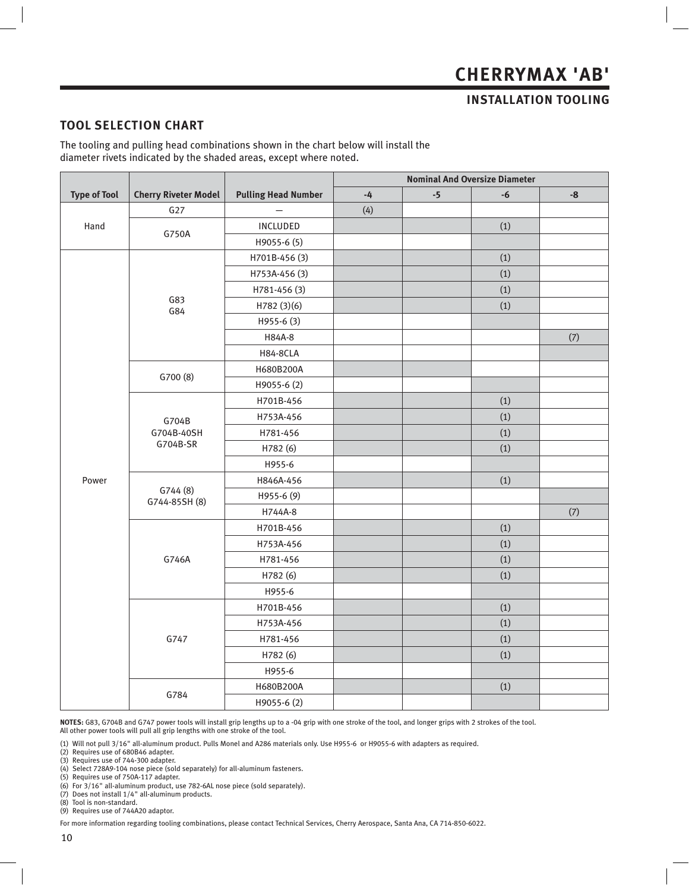### **INSTALLATION TOOLING**

#### **TOOL SELECTION CHART**

The tooling and pulling head combinations shown in the chart below will install the diameter rivets indicated by the shaded areas, except where noted.

|                     |                             |                            | <b>Nominal And Oversize Diameter</b> |      |      |               |  |  |  |
|---------------------|-----------------------------|----------------------------|--------------------------------------|------|------|---------------|--|--|--|
| <b>Type of Tool</b> | <b>Cherry Riveter Model</b> | <b>Pulling Head Number</b> | $\mathbf{-4}$                        | $-5$ | $-6$ | $\textbf{-8}$ |  |  |  |
|                     | G27                         |                            | (4)                                  |      |      |               |  |  |  |
| Hand                | G750A                       | INCLUDED                   |                                      |      | (1)  |               |  |  |  |
|                     |                             | H9055-6 (5)                |                                      |      |      |               |  |  |  |
|                     |                             | H701B-456 (3)              |                                      |      | (1)  |               |  |  |  |
|                     |                             | H753A-456 (3)              |                                      |      | (1)  |               |  |  |  |
|                     |                             | H781-456 (3)               |                                      |      | (1)  |               |  |  |  |
|                     | G83<br>G84                  | H782 (3)(6)                |                                      |      | (1)  |               |  |  |  |
|                     |                             | H955-6 (3)                 |                                      |      |      |               |  |  |  |
|                     |                             | H84A-8                     |                                      |      |      | $(7)$         |  |  |  |
|                     |                             | <b>H84-8CLA</b>            |                                      |      |      |               |  |  |  |
|                     | G700 (8)                    | H680B200A                  |                                      |      |      |               |  |  |  |
|                     |                             | H9055-6 (2)                |                                      |      |      |               |  |  |  |
|                     |                             | H701B-456                  |                                      |      | (1)  |               |  |  |  |
|                     | G704B                       | H753A-456                  |                                      |      | (1)  |               |  |  |  |
|                     | G704B-40SH                  | H781-456                   |                                      |      | (1)  |               |  |  |  |
|                     | G704B-SR                    | H782 (6)                   |                                      |      | (1)  |               |  |  |  |
|                     |                             | H955-6                     |                                      |      |      |               |  |  |  |
| Power               |                             | H846A-456                  |                                      |      | (1)  |               |  |  |  |
|                     | G744(8)<br>G744-85SH (8)    | H955-6 (9)                 |                                      |      |      |               |  |  |  |
|                     |                             | H744A-8                    |                                      |      |      | (7)           |  |  |  |
|                     |                             | H701B-456                  |                                      |      | (1)  |               |  |  |  |
|                     |                             | H753A-456                  |                                      |      | (1)  |               |  |  |  |
|                     | G746A                       | H781-456                   |                                      |      | (1)  |               |  |  |  |
|                     |                             | H782 (6)                   |                                      |      | (1)  |               |  |  |  |
|                     |                             | H955-6                     |                                      |      |      |               |  |  |  |
|                     |                             | H701B-456                  |                                      |      | (1)  |               |  |  |  |
|                     |                             | H753A-456                  |                                      |      | (1)  |               |  |  |  |
|                     | G747                        | H781-456                   |                                      |      | (1)  |               |  |  |  |
|                     |                             | H782 (6)                   |                                      |      | (1)  |               |  |  |  |
|                     |                             | H955-6                     |                                      |      |      |               |  |  |  |
|                     | G784                        | H680B200A                  |                                      |      | (1)  |               |  |  |  |
|                     |                             | H9055-6 (2)                |                                      |      |      |               |  |  |  |

**NOTES:** G83, G704B and G747 power tools will install grip lengths up to a -04 grip with one stroke of the tool, and longer grips with 2 strokes of the tool.

All other power tools will pull all grip lengths with one stroke of the tool.

(1) Will not pull 3/16" all-aluminum product. Pulls Monel and A286 materials only. Use H955-6 or H9055-6 with adapters as required.

(2) Requires use of 680B46 adapter.

(3) Requires use of 744-300 adapter.

(4) Select 728A9-104 nose piece (sold separately) for all-aluminum fasteners.

(5) Requires use of 750A-117 adapter. (6) For 3/16" all-aluminum product, use 782-6AL nose piece (sold separately). (7) Does not install 1/4" all-aluminum products.

(8) Tool is non-standard.

(9) Requires use of 744A20 adaptor.

For more information regarding tooling combinations, please contact Technical Services, Cherry Aerospace, Santa Ana, CA 714-850-6022.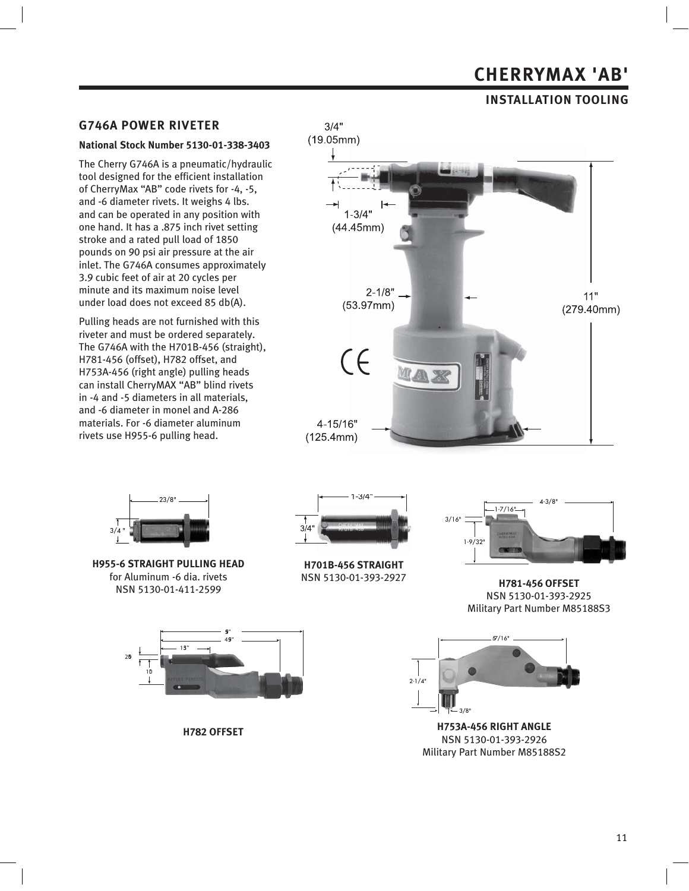### **INSTALLATION TOOLING**

#### **G746A POWER RIVETER**

#### **National Stock Number 5130-01-338-3403**

The Cherry G746A is a pneumatic/hydraulic tool designed for the efficient installation of CherryMax "AB" code rivets for -4, -5, and -6 diameter rivets. It weighs 4 lbs. and can be operated in any position with one hand. It has a .875 inch rivet setting stroke and a rated pull load of 1850 pounds on 90 psi air pressure at the air inlet. The G746A consumes approximately 3.9 cubic feet of air at 20 cycles per minute and its maximum noise level under load does not exceed 85 db(A).

Pulling heads are not furnished with this riveter and must be ordered separately. The G746A with the H701B-456 (straight), H781-456 (offset), H782 offset, and H753A-456 (right angle) pulling heads can install CherryMAX "AB" blind rivets in -4 and -5 diameters in all materials, and -6 diameter in monel and A-286 materials. For -6 diameter aluminum rivets use H955-6 pulling head.





**H955-6 STRAIGHT PULLING HEAD** for Aluminum -6 dia. rivets NSN 5130-01-411-2599



**H701B-456 STRAIGHT** NSN 5130-01-393-2927



**H781-456 OFFSET** NSN 5130-01-393-2925 Military Part Number M85188S3



**H753A-456 RIGHT ANGLE** NSN 5130-01-393-2926 Military Part Number M85188S2



**H782 OFFSET**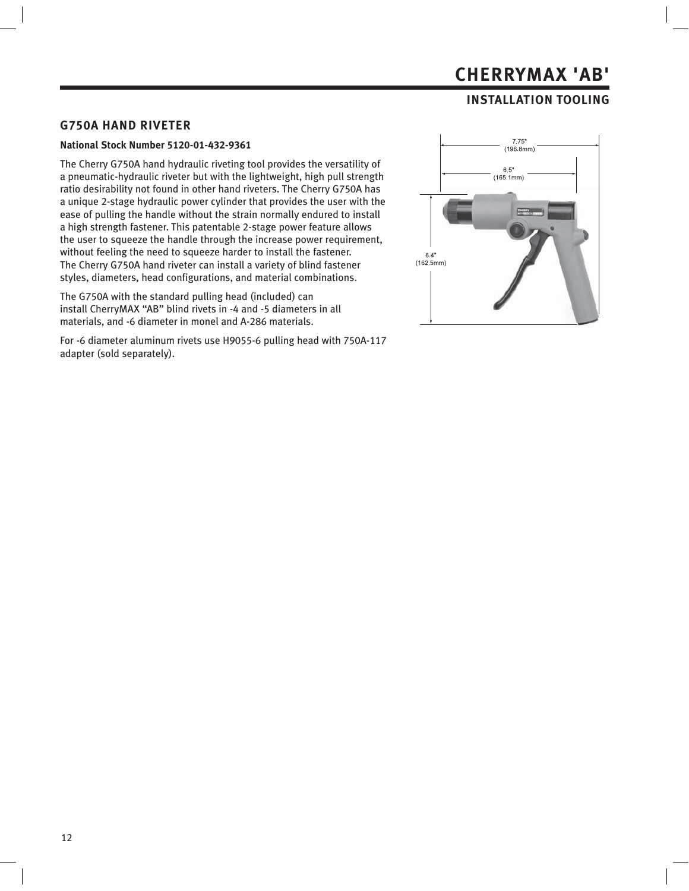### **INSTALLATION TOOLING**

#### **G750A HAND RIVETER**

#### **National Stock Number 5120-01-432-9361**

The Cherry G750A hand hydraulic riveting tool provides the versatility of a pneumatic-hydraulic riveter but with the lightweight, high pull strength ratio desirability not found in other hand riveters. The Cherry G750A has a unique 2-stage hydraulic power cylinder that provides the user with the ease of pulling the handle without the strain normally endured to install a high strength fastener. This patentable 2-stage power feature allows the user to squeeze the handle through the increase power requirement, without feeling the need to squeeze harder to install the fastener. The Cherry G750A hand riveter can install a variety of blind fastener styles, diameters, head configurations, and material combinations.

The G750A with the standard pulling head (included) can install CherryMAX "AB" blind rivets in -4 and -5 diameters in all materials, and -6 diameter in monel and A-286 materials.

For -6 diameter aluminum rivets use H9055-6 pulling head with 750A-117 adapter (sold separately).